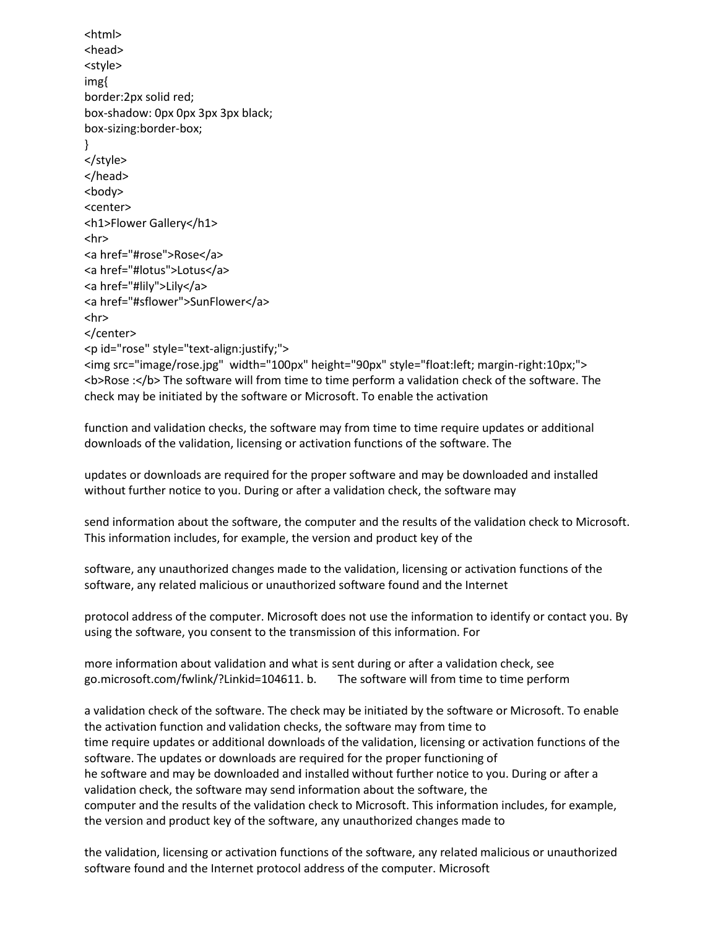```
<html>
<head>
<style>
img{
border:2px solid red;
box-shadow: 0px 0px 3px 3px black;
box-sizing:border-box;
}
</style>
</head>
<body>
<center>
<h1>Flower Gallery</h1>
<hr>
<a href="#rose">Rose</a>
<a href="#lotus">Lotus</a>
<a href="#lily">Lily</a>
<a href="#sflower">SunFlower</a>
<hr>
</center>
<p id="rose" style="text-align:justify;">
<img src="image/rose.jpg" width="100px" height="90px" style="float:left; margin-right:10px;"> 
<b>Rose :</b> The software will from time to time perform a validation check of the software. The 
check may be initiated by the software or Microsoft. To enable the activation
```
function and validation checks, the software may from time to time require updates or additional downloads of the validation, licensing or activation functions of the software. The

updates or downloads are required for the proper software and may be downloaded and installed without further notice to you. During or after a validation check, the software may

send information about the software, the computer and the results of the validation check to Microsoft. This information includes, for example, the version and product key of the

software, any unauthorized changes made to the validation, licensing or activation functions of the software, any related malicious or unauthorized software found and the Internet

protocol address of the computer. Microsoft does not use the information to identify or contact you. By using the software, you consent to the transmission of this information. For

more information about validation and what is sent during or after a validation check, see go.microsoft.com/fwlink/?Linkid=104611. b. The software will from time to time perform

a validation check of the software. The check may be initiated by the software or Microsoft. To enable the activation function and validation checks, the software may from time to time require updates or additional downloads of the validation, licensing or activation functions of the software. The updates or downloads are required for the proper functioning of he software and may be downloaded and installed without further notice to you. During or after a validation check, the software may send information about the software, the computer and the results of the validation check to Microsoft. This information includes, for example, the version and product key of the software, any unauthorized changes made to

the validation, licensing or activation functions of the software, any related malicious or unauthorized software found and the Internet protocol address of the computer. Microsoft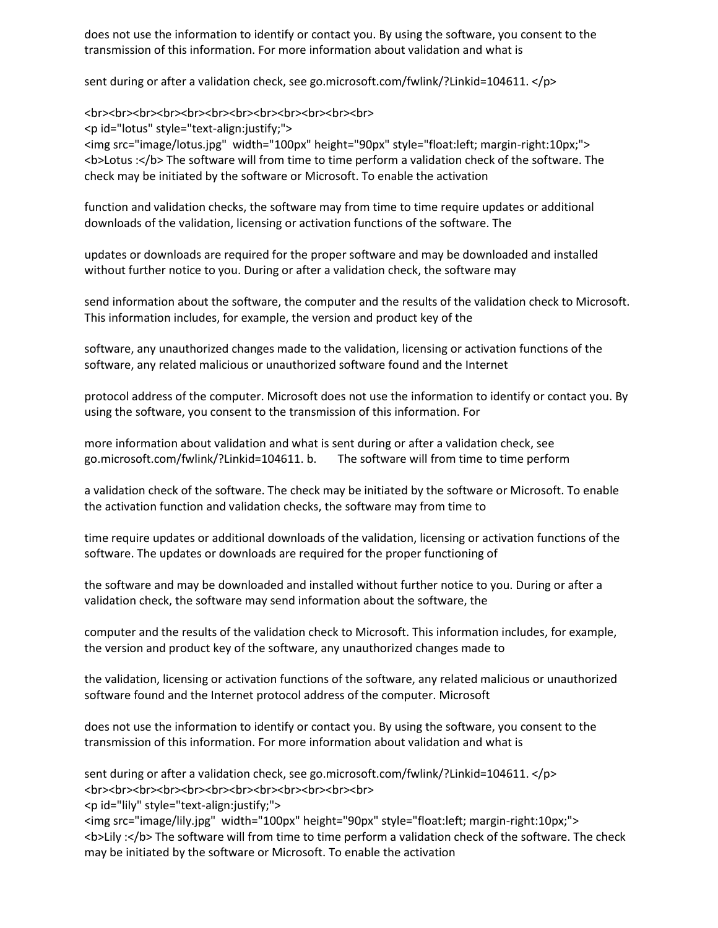does not use the information to identify or contact you. By using the software, you consent to the transmission of this information. For more information about validation and what is

sent during or after a validation check, see go.microsoft.com/fwlink/?Linkid=104611. </p>

<br><br><br><br><br><br><br><br><br><br><br><br><br><br><br><br><br><br><br> <p id="lotus" style="text-align:justify;">

<img src="image/lotus.jpg" width="100px" height="90px" style="float:left; margin-right:10px;"> <b>Lotus :</b> The software will from time to time perform a validation check of the software. The check may be initiated by the software or Microsoft. To enable the activation

function and validation checks, the software may from time to time require updates or additional downloads of the validation, licensing or activation functions of the software. The

updates or downloads are required for the proper software and may be downloaded and installed without further notice to you. During or after a validation check, the software may

send information about the software, the computer and the results of the validation check to Microsoft. This information includes, for example, the version and product key of the

software, any unauthorized changes made to the validation, licensing or activation functions of the software, any related malicious or unauthorized software found and the Internet

protocol address of the computer. Microsoft does not use the information to identify or contact you. By using the software, you consent to the transmission of this information. For

more information about validation and what is sent during or after a validation check, see go.microsoft.com/fwlink/?Linkid=104611. b. The software will from time to time perform

a validation check of the software. The check may be initiated by the software or Microsoft. To enable the activation function and validation checks, the software may from time to

time require updates or additional downloads of the validation, licensing or activation functions of the software. The updates or downloads are required for the proper functioning of

the software and may be downloaded and installed without further notice to you. During or after a validation check, the software may send information about the software, the

computer and the results of the validation check to Microsoft. This information includes, for example, the version and product key of the software, any unauthorized changes made to

the validation, licensing or activation functions of the software, any related malicious or unauthorized software found and the Internet protocol address of the computer. Microsoft

does not use the information to identify or contact you. By using the software, you consent to the transmission of this information. For more information about validation and what is

sent during or after a validation check, see go.microsoft.com/fwlink/?Linkid=104611. </p> <br><br><br><br><br><br><br><br><br><br><br><br><br><br><br><br><br><br><br>

<p id="lily" style="text-align:justify;">

<img src="image/lily.jpg" width="100px" height="90px" style="float:left; margin-right:10px;"> <b>Lily :</b> The software will from time to time perform a validation check of the software. The check may be initiated by the software or Microsoft. To enable the activation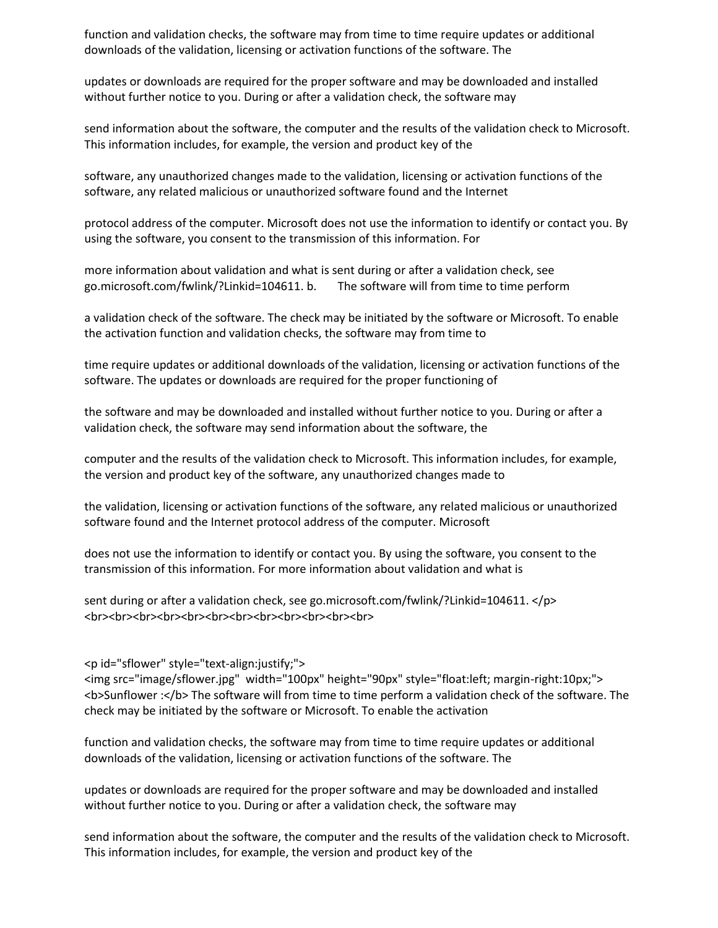function and validation checks, the software may from time to time require updates or additional downloads of the validation, licensing or activation functions of the software. The

updates or downloads are required for the proper software and may be downloaded and installed without further notice to you. During or after a validation check, the software may

send information about the software, the computer and the results of the validation check to Microsoft. This information includes, for example, the version and product key of the

software, any unauthorized changes made to the validation, licensing or activation functions of the software, any related malicious or unauthorized software found and the Internet

protocol address of the computer. Microsoft does not use the information to identify or contact you. By using the software, you consent to the transmission of this information. For

more information about validation and what is sent during or after a validation check, see go.microsoft.com/fwlink/?Linkid=104611. b. The software will from time to time perform

a validation check of the software. The check may be initiated by the software or Microsoft. To enable the activation function and validation checks, the software may from time to

time require updates or additional downloads of the validation, licensing or activation functions of the software. The updates or downloads are required for the proper functioning of

the software and may be downloaded and installed without further notice to you. During or after a validation check, the software may send information about the software, the

computer and the results of the validation check to Microsoft. This information includes, for example, the version and product key of the software, any unauthorized changes made to

the validation, licensing or activation functions of the software, any related malicious or unauthorized software found and the Internet protocol address of the computer. Microsoft

does not use the information to identify or contact you. By using the software, you consent to the transmission of this information. For more information about validation and what is

sent during or after a validation check, see go.microsoft.com/fwlink/?Linkid=104611. </p> <br><br><br><br><br><br><br><br><br><br><br><br><br><br><br><br><br><br><br><br><br><br><br>

## <p id="sflower" style="text-align:justify;">

<img src="image/sflower.jpg" width="100px" height="90px" style="float:left; margin-right:10px;"> <b>Sunflower :</b> The software will from time to time perform a validation check of the software. The check may be initiated by the software or Microsoft. To enable the activation

function and validation checks, the software may from time to time require updates or additional downloads of the validation, licensing or activation functions of the software. The

updates or downloads are required for the proper software and may be downloaded and installed without further notice to you. During or after a validation check, the software may

send information about the software, the computer and the results of the validation check to Microsoft. This information includes, for example, the version and product key of the